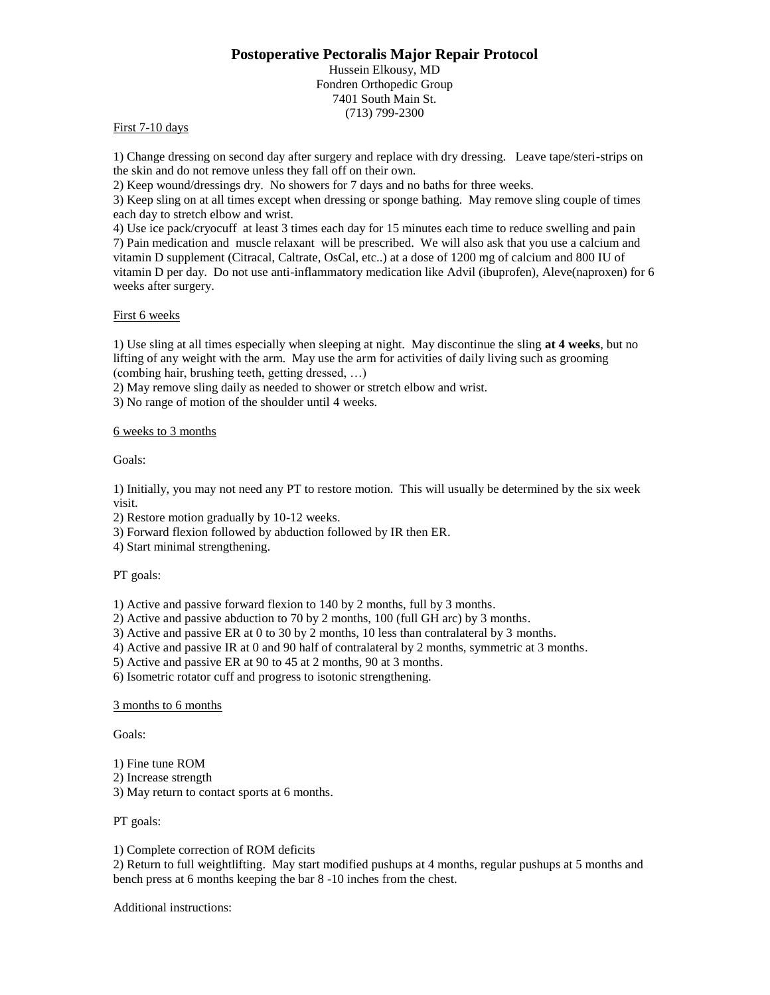# **Postoperative Pectoralis Major Repair Protocol**

Hussein Elkousy, MD Fondren Orthopedic Group 7401 South Main St. (713) 799-2300

## First 7-10 days

1) Change dressing on second day after surgery and replace with dry dressing. Leave tape/steri-strips on the skin and do not remove unless they fall off on their own.

2) Keep wound/dressings dry. No showers for 7 days and no baths for three weeks.

3) Keep sling on at all times except when dressing or sponge bathing. May remove sling couple of times each day to stretch elbow and wrist.

4) Use ice pack/cryocuff at least 3 times each day for 15 minutes each time to reduce swelling and pain 7) Pain medication and muscle relaxant will be prescribed. We will also ask that you use a calcium and vitamin D supplement (Citracal, Caltrate, OsCal, etc..) at a dose of 1200 mg of calcium and 800 IU of vitamin D per day. Do not use anti-inflammatory medication like Advil (ibuprofen), Aleve(naproxen) for 6 weeks after surgery.

## First 6 weeks

1) Use sling at all times especially when sleeping at night. May discontinue the sling **at 4 weeks**, but no lifting of any weight with the arm. May use the arm for activities of daily living such as grooming (combing hair, brushing teeth, getting dressed, …)

2) May remove sling daily as needed to shower or stretch elbow and wrist.

3) No range of motion of the shoulder until 4 weeks.

## 6 weeks to 3 months

Goals:

1) Initially, you may not need any PT to restore motion. This will usually be determined by the six week visit.

2) Restore motion gradually by 10-12 weeks.

3) Forward flexion followed by abduction followed by IR then ER.

4) Start minimal strengthening.

#### PT goals:

1) Active and passive forward flexion to 140 by 2 months, full by 3 months.

2) Active and passive abduction to 70 by 2 months, 100 (full GH arc) by 3 months.

3) Active and passive ER at 0 to 30 by 2 months, 10 less than contralateral by 3 months.

4) Active and passive IR at 0 and 90 half of contralateral by 2 months, symmetric at 3 months.

5) Active and passive ER at 90 to 45 at 2 months, 90 at 3 months.

6) Isometric rotator cuff and progress to isotonic strengthening.

#### 3 months to 6 months

Goals:

- 1) Fine tune ROM
- 2) Increase strength
- 3) May return to contact sports at 6 months.

#### PT goals:

# 1) Complete correction of ROM deficits

2) Return to full weightlifting. May start modified pushups at 4 months, regular pushups at 5 months and bench press at 6 months keeping the bar 8 -10 inches from the chest.

Additional instructions: